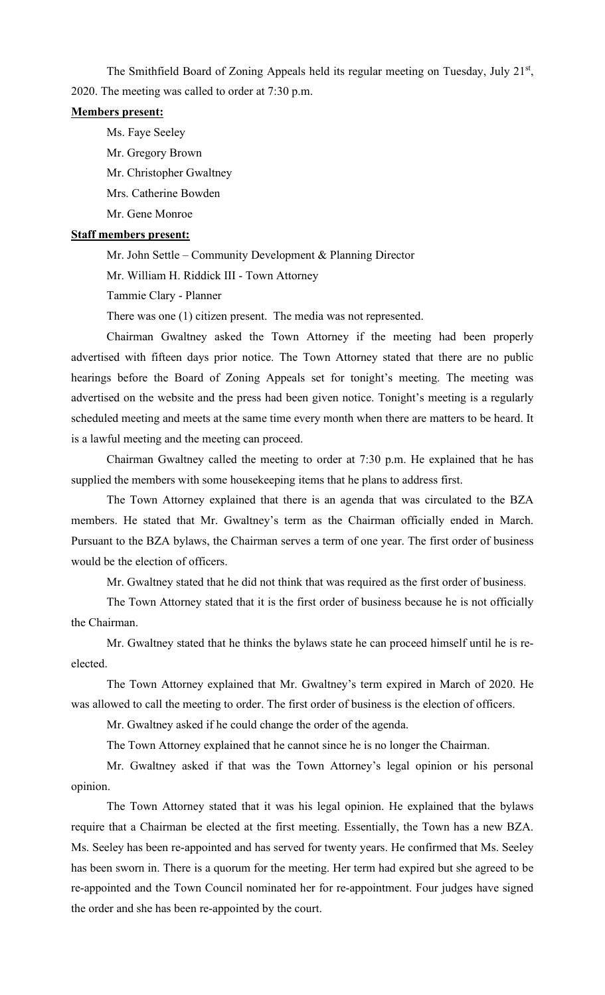The Smithfield Board of Zoning Appeals held its regular meeting on Tuesday, July 21<sup>st</sup>, 2020. The meeting was called to order at 7:30 p.m.

#### **Members present:**

Ms. Faye Seeley Mr. Gregory Brown Mr. Christopher Gwaltney Mrs. Catherine Bowden Mr. Gene Monroe

# **Staff members present:**

Mr. John Settle – Community Development & Planning Director

Mr. William H. Riddick III - Town Attorney

Tammie Clary - Planner

There was one (1) citizen present. The media was not represented.

Chairman Gwaltney asked the Town Attorney if the meeting had been properly advertised with fifteen days prior notice. The Town Attorney stated that there are no public hearings before the Board of Zoning Appeals set for tonight's meeting. The meeting was advertised on the website and the press had been given notice. Tonight's meeting is a regularly scheduled meeting and meets at the same time every month when there are matters to be heard. It is a lawful meeting and the meeting can proceed.

Chairman Gwaltney called the meeting to order at 7:30 p.m. He explained that he has supplied the members with some housekeeping items that he plans to address first.

The Town Attorney explained that there is an agenda that was circulated to the BZA members. He stated that Mr. Gwaltney's term as the Chairman officially ended in March. Pursuant to the BZA bylaws, the Chairman serves a term of one year. The first order of business would be the election of officers.

Mr. Gwaltney stated that he did not think that was required as the first order of business.

The Town Attorney stated that it is the first order of business because he is not officially the Chairman.

Mr. Gwaltney stated that he thinks the bylaws state he can proceed himself until he is reelected.

The Town Attorney explained that Mr. Gwaltney's term expired in March of 2020. He was allowed to call the meeting to order. The first order of business is the election of officers.

Mr. Gwaltney asked if he could change the order of the agenda.

The Town Attorney explained that he cannot since he is no longer the Chairman.

Mr. Gwaltney asked if that was the Town Attorney's legal opinion or his personal opinion.

The Town Attorney stated that it was his legal opinion. He explained that the bylaws require that a Chairman be elected at the first meeting. Essentially, the Town has a new BZA. Ms. Seeley has been re-appointed and has served for twenty years. He confirmed that Ms. Seeley has been sworn in. There is a quorum for the meeting. Her term had expired but she agreed to be re-appointed and the Town Council nominated her for re-appointment. Four judges have signed the order and she has been re-appointed by the court.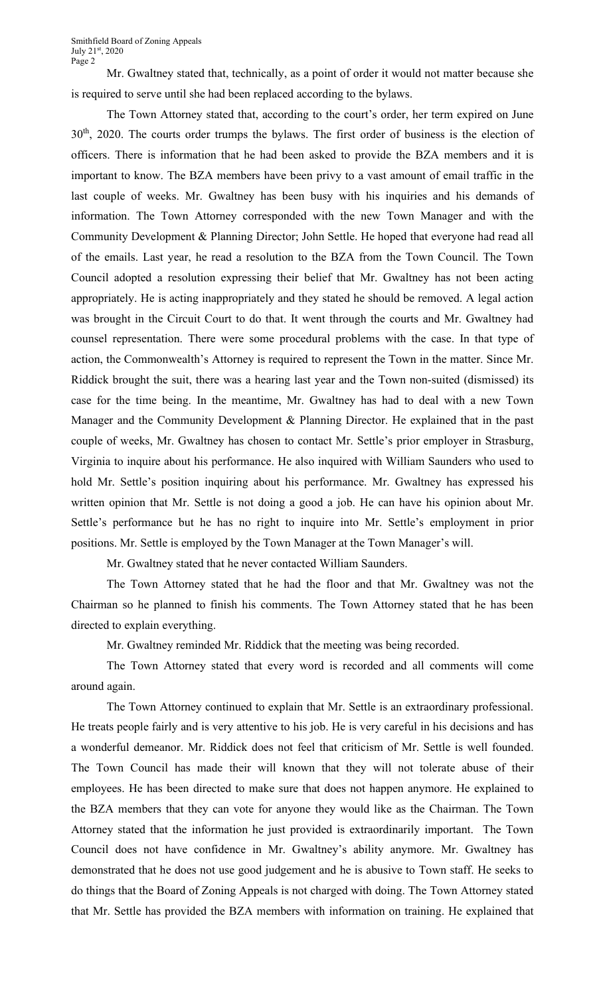Mr. Gwaltney stated that, technically, as a point of order it would not matter because she is required to serve until she had been replaced according to the bylaws.

The Town Attorney stated that, according to the court's order, her term expired on June 30<sup>th</sup>, 2020. The courts order trumps the bylaws. The first order of business is the election of officers. There is information that he had been asked to provide the BZA members and it is important to know. The BZA members have been privy to a vast amount of email traffic in the last couple of weeks. Mr. Gwaltney has been busy with his inquiries and his demands of information. The Town Attorney corresponded with the new Town Manager and with the Community Development & Planning Director; John Settle. He hoped that everyone had read all of the emails. Last year, he read a resolution to the BZA from the Town Council. The Town Council adopted a resolution expressing their belief that Mr. Gwaltney has not been acting appropriately. He is acting inappropriately and they stated he should be removed. A legal action was brought in the Circuit Court to do that. It went through the courts and Mr. Gwaltney had counsel representation. There were some procedural problems with the case. In that type of action, the Commonwealth's Attorney is required to represent the Town in the matter. Since Mr. Riddick brought the suit, there was a hearing last year and the Town non-suited (dismissed) its case for the time being. In the meantime, Mr. Gwaltney has had to deal with a new Town Manager and the Community Development & Planning Director. He explained that in the past couple of weeks, Mr. Gwaltney has chosen to contact Mr. Settle's prior employer in Strasburg, Virginia to inquire about his performance. He also inquired with William Saunders who used to hold Mr. Settle's position inquiring about his performance. Mr. Gwaltney has expressed his written opinion that Mr. Settle is not doing a good a job. He can have his opinion about Mr. Settle's performance but he has no right to inquire into Mr. Settle's employment in prior positions. Mr. Settle is employed by the Town Manager at the Town Manager's will.

Mr. Gwaltney stated that he never contacted William Saunders.

The Town Attorney stated that he had the floor and that Mr. Gwaltney was not the Chairman so he planned to finish his comments. The Town Attorney stated that he has been directed to explain everything.

Mr. Gwaltney reminded Mr. Riddick that the meeting was being recorded.

The Town Attorney stated that every word is recorded and all comments will come around again.

The Town Attorney continued to explain that Mr. Settle is an extraordinary professional. He treats people fairly and is very attentive to his job. He is very careful in his decisions and has a wonderful demeanor. Mr. Riddick does not feel that criticism of Mr. Settle is well founded. The Town Council has made their will known that they will not tolerate abuse of their employees. He has been directed to make sure that does not happen anymore. He explained to the BZA members that they can vote for anyone they would like as the Chairman. The Town Attorney stated that the information he just provided is extraordinarily important. The Town Council does not have confidence in Mr. Gwaltney's ability anymore. Mr. Gwaltney has demonstrated that he does not use good judgement and he is abusive to Town staff. He seeks to do things that the Board of Zoning Appeals is not charged with doing. The Town Attorney stated that Mr. Settle has provided the BZA members with information on training. He explained that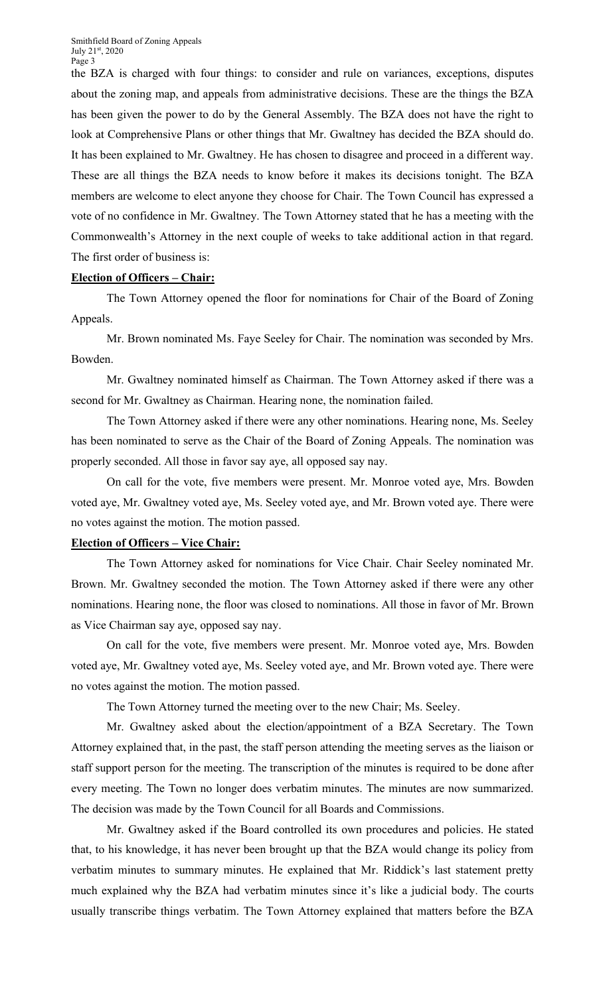the BZA is charged with four things: to consider and rule on variances, exceptions, disputes about the zoning map, and appeals from administrative decisions. These are the things the BZA has been given the power to do by the General Assembly. The BZA does not have the right to look at Comprehensive Plans or other things that Mr. Gwaltney has decided the BZA should do. It has been explained to Mr. Gwaltney. He has chosen to disagree and proceed in a different way. These are all things the BZA needs to know before it makes its decisions tonight. The BZA members are welcome to elect anyone they choose for Chair. The Town Council has expressed a vote of no confidence in Mr. Gwaltney. The Town Attorney stated that he has a meeting with the Commonwealth's Attorney in the next couple of weeks to take additional action in that regard. The first order of business is:

#### **Election of Officers – Chair:**

The Town Attorney opened the floor for nominations for Chair of the Board of Zoning Appeals.

Mr. Brown nominated Ms. Faye Seeley for Chair. The nomination was seconded by Mrs. Bowden.

Mr. Gwaltney nominated himself as Chairman. The Town Attorney asked if there was a second for Mr. Gwaltney as Chairman. Hearing none, the nomination failed.

The Town Attorney asked if there were any other nominations. Hearing none, Ms. Seeley has been nominated to serve as the Chair of the Board of Zoning Appeals. The nomination was properly seconded. All those in favor say aye, all opposed say nay.

On call for the vote, five members were present. Mr. Monroe voted aye, Mrs. Bowden voted aye, Mr. Gwaltney voted aye, Ms. Seeley voted aye, and Mr. Brown voted aye. There were no votes against the motion. The motion passed.

#### **Election of Officers – Vice Chair:**

The Town Attorney asked for nominations for Vice Chair. Chair Seeley nominated Mr. Brown. Mr. Gwaltney seconded the motion. The Town Attorney asked if there were any other nominations. Hearing none, the floor was closed to nominations. All those in favor of Mr. Brown as Vice Chairman say aye, opposed say nay.

On call for the vote, five members were present. Mr. Monroe voted aye, Mrs. Bowden voted aye, Mr. Gwaltney voted aye, Ms. Seeley voted aye, and Mr. Brown voted aye. There were no votes against the motion. The motion passed.

The Town Attorney turned the meeting over to the new Chair; Ms. Seeley.

Mr. Gwaltney asked about the election/appointment of a BZA Secretary. The Town Attorney explained that, in the past, the staff person attending the meeting serves as the liaison or staff support person for the meeting. The transcription of the minutes is required to be done after every meeting. The Town no longer does verbatim minutes. The minutes are now summarized. The decision was made by the Town Council for all Boards and Commissions.

Mr. Gwaltney asked if the Board controlled its own procedures and policies. He stated that, to his knowledge, it has never been brought up that the BZA would change its policy from verbatim minutes to summary minutes. He explained that Mr. Riddick's last statement pretty much explained why the BZA had verbatim minutes since it's like a judicial body. The courts usually transcribe things verbatim. The Town Attorney explained that matters before the BZA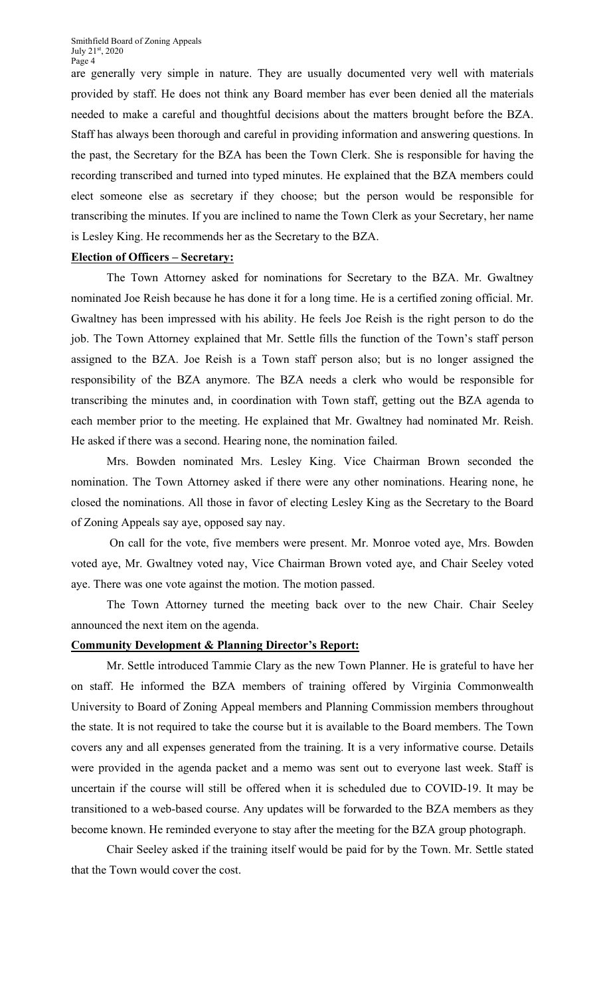are generally very simple in nature. They are usually documented very well with materials provided by staff. He does not think any Board member has ever been denied all the materials needed to make a careful and thoughtful decisions about the matters brought before the BZA. Staff has always been thorough and careful in providing information and answering questions. In the past, the Secretary for the BZA has been the Town Clerk. She is responsible for having the recording transcribed and turned into typed minutes. He explained that the BZA members could elect someone else as secretary if they choose; but the person would be responsible for transcribing the minutes. If you are inclined to name the Town Clerk as your Secretary, her name is Lesley King. He recommends her as the Secretary to the BZA.

### **Election of Officers – Secretary:**

The Town Attorney asked for nominations for Secretary to the BZA. Mr. Gwaltney nominated Joe Reish because he has done it for a long time. He is a certified zoning official. Mr. Gwaltney has been impressed with his ability. He feels Joe Reish is the right person to do the job. The Town Attorney explained that Mr. Settle fills the function of the Town's staff person assigned to the BZA. Joe Reish is a Town staff person also; but is no longer assigned the responsibility of the BZA anymore. The BZA needs a clerk who would be responsible for transcribing the minutes and, in coordination with Town staff, getting out the BZA agenda to each member prior to the meeting. He explained that Mr. Gwaltney had nominated Mr. Reish. He asked if there was a second. Hearing none, the nomination failed.

Mrs. Bowden nominated Mrs. Lesley King. Vice Chairman Brown seconded the nomination. The Town Attorney asked if there were any other nominations. Hearing none, he closed the nominations. All those in favor of electing Lesley King as the Secretary to the Board of Zoning Appeals say aye, opposed say nay.

On call for the vote, five members were present. Mr. Monroe voted aye, Mrs. Bowden voted aye, Mr. Gwaltney voted nay, Vice Chairman Brown voted aye, and Chair Seeley voted aye. There was one vote against the motion. The motion passed.

The Town Attorney turned the meeting back over to the new Chair. Chair Seeley announced the next item on the agenda.

#### **Community Development & Planning Director's Report:**

Mr. Settle introduced Tammie Clary as the new Town Planner. He is grateful to have her on staff. He informed the BZA members of training offered by Virginia Commonwealth University to Board of Zoning Appeal members and Planning Commission members throughout the state. It is not required to take the course but it is available to the Board members. The Town covers any and all expenses generated from the training. It is a very informative course. Details were provided in the agenda packet and a memo was sent out to everyone last week. Staff is uncertain if the course will still be offered when it is scheduled due to COVID-19. It may be transitioned to a web-based course. Any updates will be forwarded to the BZA members as they become known. He reminded everyone to stay after the meeting for the BZA group photograph.

Chair Seeley asked if the training itself would be paid for by the Town. Mr. Settle stated that the Town would cover the cost.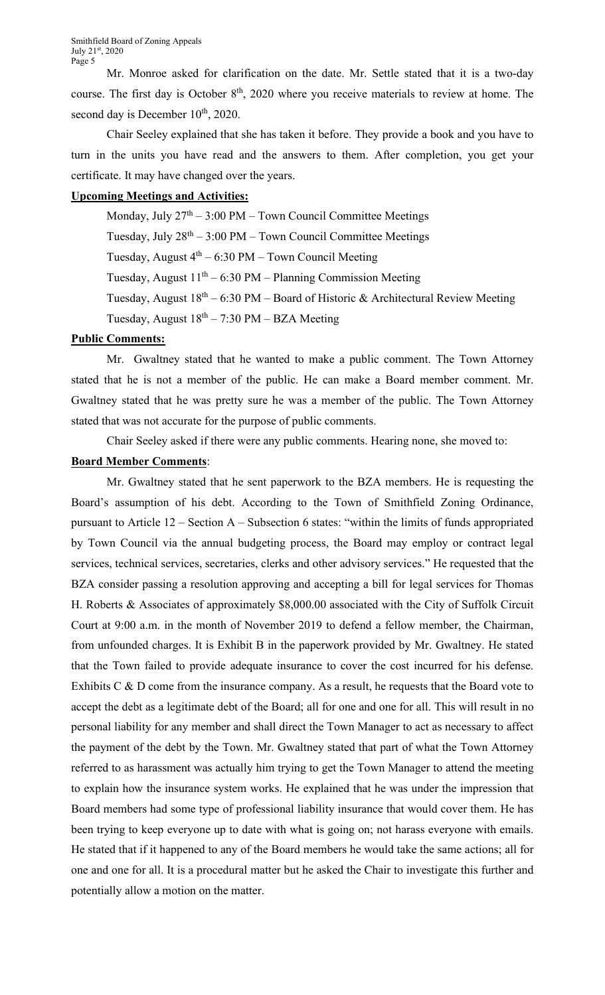Mr. Monroe asked for clarification on the date. Mr. Settle stated that it is a two-day course. The first day is October  $8<sup>th</sup>$ , 2020 where you receive materials to review at home. The second day is December 10<sup>th</sup>, 2020.

Chair Seeley explained that she has taken it before. They provide a book and you have to turn in the units you have read and the answers to them. After completion, you get your certificate. It may have changed over the years.

## **Upcoming Meetings and Activities:**

Monday, July  $27<sup>th</sup> - 3:00 PM - Town Council Committee Meetings$ Tuesday, July  $28<sup>th</sup> - 3:00 PM - Town Council Committee Meetings$ Tuesday, August  $4^{th}$  – 6:30 PM – Town Council Meeting Tuesday, August  $11<sup>th</sup> - 6:30 PM - Planning Commission Meeting$ Tuesday, August  $18<sup>th</sup> - 6:30 PM - Board$  of Historic & Architectural Review Meeting Tuesday, August  $18^{th} - 7:30$  PM – BZA Meeting

## **Public Comments:**

Mr. Gwaltney stated that he wanted to make a public comment. The Town Attorney stated that he is not a member of the public. He can make a Board member comment. Mr. Gwaltney stated that he was pretty sure he was a member of the public. The Town Attorney stated that was not accurate for the purpose of public comments.

Chair Seeley asked if there were any public comments. Hearing none, she moved to:

## **Board Member Comments**:

Mr. Gwaltney stated that he sent paperwork to the BZA members. He is requesting the Board's assumption of his debt. According to the Town of Smithfield Zoning Ordinance, pursuant to Article 12 – Section A – Subsection 6 states: "within the limits of funds appropriated by Town Council via the annual budgeting process, the Board may employ or contract legal services, technical services, secretaries, clerks and other advisory services." He requested that the BZA consider passing a resolution approving and accepting a bill for legal services for Thomas H. Roberts & Associates of approximately \$8,000.00 associated with the City of Suffolk Circuit Court at 9:00 a.m. in the month of November 2019 to defend a fellow member, the Chairman, from unfounded charges. It is Exhibit B in the paperwork provided by Mr. Gwaltney. He stated that the Town failed to provide adequate insurance to cover the cost incurred for his defense. Exhibits C & D come from the insurance company. As a result, he requests that the Board vote to accept the debt as a legitimate debt of the Board; all for one and one for all. This will result in no personal liability for any member and shall direct the Town Manager to act as necessary to affect the payment of the debt by the Town. Mr. Gwaltney stated that part of what the Town Attorney referred to as harassment was actually him trying to get the Town Manager to attend the meeting to explain how the insurance system works. He explained that he was under the impression that Board members had some type of professional liability insurance that would cover them. He has been trying to keep everyone up to date with what is going on; not harass everyone with emails. He stated that if it happened to any of the Board members he would take the same actions; all for one and one for all. It is a procedural matter but he asked the Chair to investigate this further and potentially allow a motion on the matter.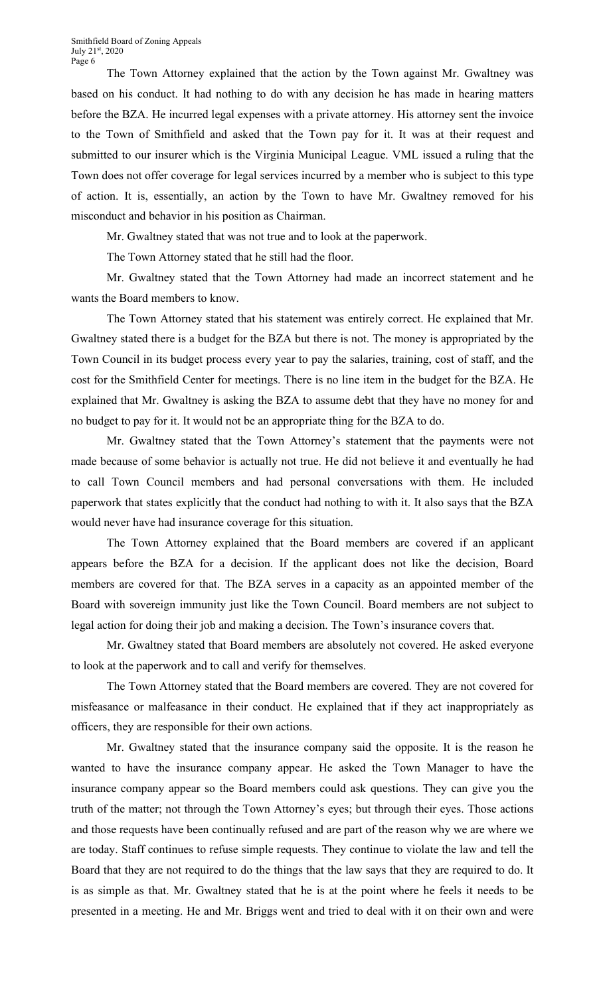The Town Attorney explained that the action by the Town against Mr. Gwaltney was based on his conduct. It had nothing to do with any decision he has made in hearing matters before the BZA. He incurred legal expenses with a private attorney. His attorney sent the invoice to the Town of Smithfield and asked that the Town pay for it. It was at their request and submitted to our insurer which is the Virginia Municipal League. VML issued a ruling that the Town does not offer coverage for legal services incurred by a member who is subject to this type of action. It is, essentially, an action by the Town to have Mr. Gwaltney removed for his misconduct and behavior in his position as Chairman.

Mr. Gwaltney stated that was not true and to look at the paperwork.

The Town Attorney stated that he still had the floor.

Mr. Gwaltney stated that the Town Attorney had made an incorrect statement and he wants the Board members to know.

The Town Attorney stated that his statement was entirely correct. He explained that Mr. Gwaltney stated there is a budget for the BZA but there is not. The money is appropriated by the Town Council in its budget process every year to pay the salaries, training, cost of staff, and the cost for the Smithfield Center for meetings. There is no line item in the budget for the BZA. He explained that Mr. Gwaltney is asking the BZA to assume debt that they have no money for and no budget to pay for it. It would not be an appropriate thing for the BZA to do.

Mr. Gwaltney stated that the Town Attorney's statement that the payments were not made because of some behavior is actually not true. He did not believe it and eventually he had to call Town Council members and had personal conversations with them. He included paperwork that states explicitly that the conduct had nothing to with it. It also says that the BZA would never have had insurance coverage for this situation.

The Town Attorney explained that the Board members are covered if an applicant appears before the BZA for a decision. If the applicant does not like the decision, Board members are covered for that. The BZA serves in a capacity as an appointed member of the Board with sovereign immunity just like the Town Council. Board members are not subject to legal action for doing their job and making a decision. The Town's insurance covers that.

Mr. Gwaltney stated that Board members are absolutely not covered. He asked everyone to look at the paperwork and to call and verify for themselves.

The Town Attorney stated that the Board members are covered. They are not covered for misfeasance or malfeasance in their conduct. He explained that if they act inappropriately as officers, they are responsible for their own actions.

Mr. Gwaltney stated that the insurance company said the opposite. It is the reason he wanted to have the insurance company appear. He asked the Town Manager to have the insurance company appear so the Board members could ask questions. They can give you the truth of the matter; not through the Town Attorney's eyes; but through their eyes. Those actions and those requests have been continually refused and are part of the reason why we are where we are today. Staff continues to refuse simple requests. They continue to violate the law and tell the Board that they are not required to do the things that the law says that they are required to do. It is as simple as that. Mr. Gwaltney stated that he is at the point where he feels it needs to be presented in a meeting. He and Mr. Briggs went and tried to deal with it on their own and were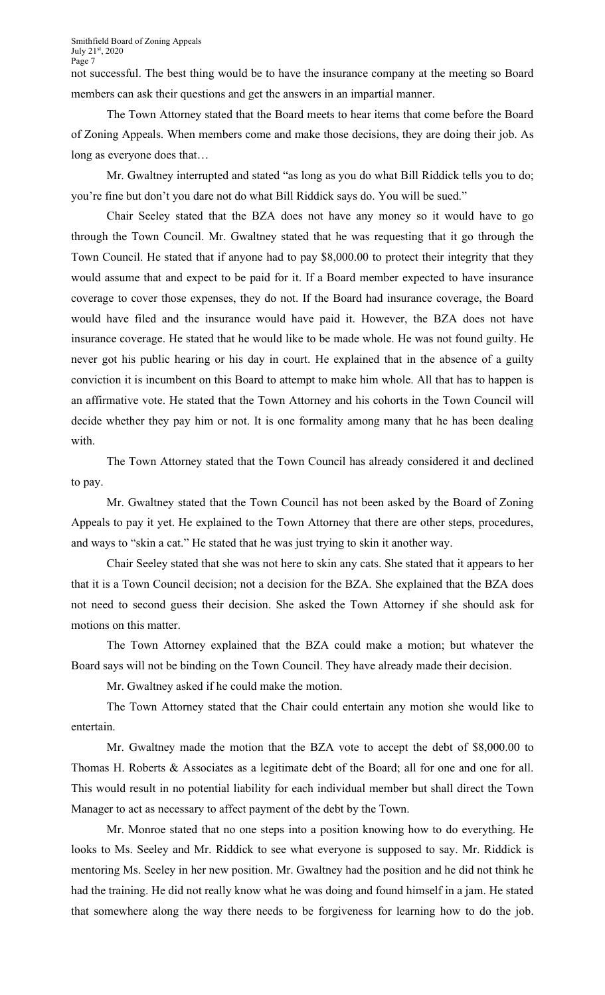not successful. The best thing would be to have the insurance company at the meeting so Board members can ask their questions and get the answers in an impartial manner.

The Town Attorney stated that the Board meets to hear items that come before the Board of Zoning Appeals. When members come and make those decisions, they are doing their job. As long as everyone does that…

Mr. Gwaltney interrupted and stated "as long as you do what Bill Riddick tells you to do; you're fine but don't you dare not do what Bill Riddick says do. You will be sued."

Chair Seeley stated that the BZA does not have any money so it would have to go through the Town Council. Mr. Gwaltney stated that he was requesting that it go through the Town Council. He stated that if anyone had to pay \$8,000.00 to protect their integrity that they would assume that and expect to be paid for it. If a Board member expected to have insurance coverage to cover those expenses, they do not. If the Board had insurance coverage, the Board would have filed and the insurance would have paid it. However, the BZA does not have insurance coverage. He stated that he would like to be made whole. He was not found guilty. He never got his public hearing or his day in court. He explained that in the absence of a guilty conviction it is incumbent on this Board to attempt to make him whole. All that has to happen is an affirmative vote. He stated that the Town Attorney and his cohorts in the Town Council will decide whether they pay him or not. It is one formality among many that he has been dealing with.

The Town Attorney stated that the Town Council has already considered it and declined to pay.

Mr. Gwaltney stated that the Town Council has not been asked by the Board of Zoning Appeals to pay it yet. He explained to the Town Attorney that there are other steps, procedures, and ways to "skin a cat." He stated that he was just trying to skin it another way.

Chair Seeley stated that she was not here to skin any cats. She stated that it appears to her that it is a Town Council decision; not a decision for the BZA. She explained that the BZA does not need to second guess their decision. She asked the Town Attorney if she should ask for motions on this matter.

The Town Attorney explained that the BZA could make a motion; but whatever the Board says will not be binding on the Town Council. They have already made their decision.

Mr. Gwaltney asked if he could make the motion.

The Town Attorney stated that the Chair could entertain any motion she would like to entertain.

Mr. Gwaltney made the motion that the BZA vote to accept the debt of \$8,000.00 to Thomas H. Roberts & Associates as a legitimate debt of the Board; all for one and one for all. This would result in no potential liability for each individual member but shall direct the Town Manager to act as necessary to affect payment of the debt by the Town.

Mr. Monroe stated that no one steps into a position knowing how to do everything. He looks to Ms. Seeley and Mr. Riddick to see what everyone is supposed to say. Mr. Riddick is mentoring Ms. Seeley in her new position. Mr. Gwaltney had the position and he did not think he had the training. He did not really know what he was doing and found himself in a jam. He stated that somewhere along the way there needs to be forgiveness for learning how to do the job.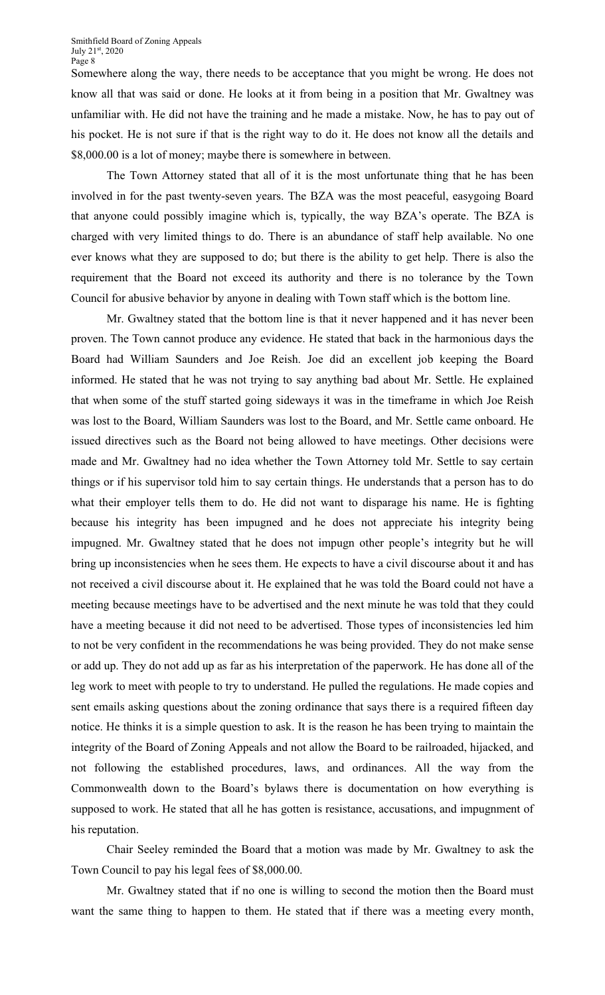Somewhere along the way, there needs to be acceptance that you might be wrong. He does not know all that was said or done. He looks at it from being in a position that Mr. Gwaltney was unfamiliar with. He did not have the training and he made a mistake. Now, he has to pay out of his pocket. He is not sure if that is the right way to do it. He does not know all the details and \$8,000.00 is a lot of money; maybe there is somewhere in between.

The Town Attorney stated that all of it is the most unfortunate thing that he has been involved in for the past twenty-seven years. The BZA was the most peaceful, easygoing Board that anyone could possibly imagine which is, typically, the way BZA's operate. The BZA is charged with very limited things to do. There is an abundance of staff help available. No one ever knows what they are supposed to do; but there is the ability to get help. There is also the requirement that the Board not exceed its authority and there is no tolerance by the Town Council for abusive behavior by anyone in dealing with Town staff which is the bottom line.

Mr. Gwaltney stated that the bottom line is that it never happened and it has never been proven. The Town cannot produce any evidence. He stated that back in the harmonious days the Board had William Saunders and Joe Reish. Joe did an excellent job keeping the Board informed. He stated that he was not trying to say anything bad about Mr. Settle. He explained that when some of the stuff started going sideways it was in the timeframe in which Joe Reish was lost to the Board, William Saunders was lost to the Board, and Mr. Settle came onboard. He issued directives such as the Board not being allowed to have meetings. Other decisions were made and Mr. Gwaltney had no idea whether the Town Attorney told Mr. Settle to say certain things or if his supervisor told him to say certain things. He understands that a person has to do what their employer tells them to do. He did not want to disparage his name. He is fighting because his integrity has been impugned and he does not appreciate his integrity being impugned. Mr. Gwaltney stated that he does not impugn other people's integrity but he will bring up inconsistencies when he sees them. He expects to have a civil discourse about it and has not received a civil discourse about it. He explained that he was told the Board could not have a meeting because meetings have to be advertised and the next minute he was told that they could have a meeting because it did not need to be advertised. Those types of inconsistencies led him to not be very confident in the recommendations he was being provided. They do not make sense or add up. They do not add up as far as his interpretation of the paperwork. He has done all of the leg work to meet with people to try to understand. He pulled the regulations. He made copies and sent emails asking questions about the zoning ordinance that says there is a required fifteen day notice. He thinks it is a simple question to ask. It is the reason he has been trying to maintain the integrity of the Board of Zoning Appeals and not allow the Board to be railroaded, hijacked, and not following the established procedures, laws, and ordinances. All the way from the Commonwealth down to the Board's bylaws there is documentation on how everything is supposed to work. He stated that all he has gotten is resistance, accusations, and impugnment of his reputation.

Chair Seeley reminded the Board that a motion was made by Mr. Gwaltney to ask the Town Council to pay his legal fees of \$8,000.00.

Mr. Gwaltney stated that if no one is willing to second the motion then the Board must want the same thing to happen to them. He stated that if there was a meeting every month,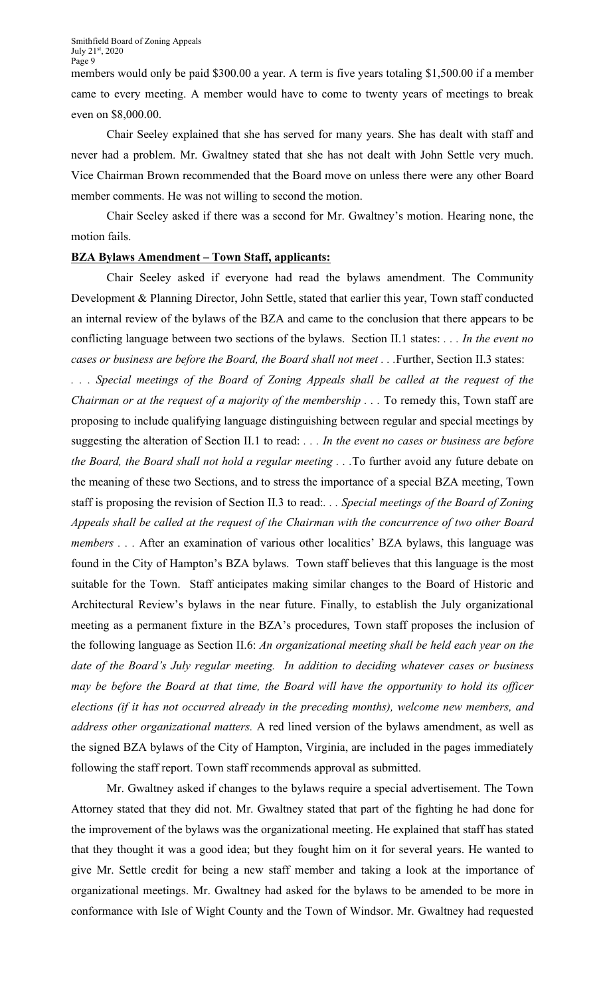members would only be paid \$300.00 a year. A term is five years totaling \$1,500.00 if a member came to every meeting. A member would have to come to twenty years of meetings to break even on \$8,000.00.

Chair Seeley explained that she has served for many years. She has dealt with staff and never had a problem. Mr. Gwaltney stated that she has not dealt with John Settle very much. Vice Chairman Brown recommended that the Board move on unless there were any other Board member comments. He was not willing to second the motion.

Chair Seeley asked if there was a second for Mr. Gwaltney's motion. Hearing none, the motion fails.

#### **BZA Bylaws Amendment – Town Staff, applicants:**

Chair Seeley asked if everyone had read the bylaws amendment. The Community Development & Planning Director, John Settle, stated that earlier this year, Town staff conducted an internal review of the bylaws of the BZA and came to the conclusion that there appears to be conflicting language between two sections of the bylaws. Section II.1 states: *. . . In the event no cases or business are before the Board, the Board shall not meet . . .*Further, Section II.3 states:

*. . . Special meetings of the Board of Zoning Appeals shall be called at the request of the Chairman or at the request of a majority of the membership ...* To remedy this, Town staff are proposing to include qualifying language distinguishing between regular and special meetings by suggesting the alteration of Section II.1 to read: *. . . In the event no cases or business are before the Board, the Board shall not hold a regular meeting . . .*To further avoid any future debate on the meaning of these two Sections, and to stress the importance of a special BZA meeting, Town staff is proposing the revision of Section II.3 to read:*. . . Special meetings of the Board of Zoning Appeals shall be called at the request of the Chairman with the concurrence of two other Board members . . .* After an examination of various other localities' BZA bylaws, this language was found in the City of Hampton's BZA bylaws. Town staff believes that this language is the most suitable for the Town. Staff anticipates making similar changes to the Board of Historic and Architectural Review's bylaws in the near future. Finally, to establish the July organizational meeting as a permanent fixture in the BZA's procedures, Town staff proposes the inclusion of the following language as Section II.6: *An organizational meeting shall be held each year on the date of the Board's July regular meeting. In addition to deciding whatever cases or business may be before the Board at that time, the Board will have the opportunity to hold its officer elections (if it has not occurred already in the preceding months), welcome new members, and address other organizational matters.* A red lined version of the bylaws amendment, as well as the signed BZA bylaws of the City of Hampton, Virginia, are included in the pages immediately following the staff report. Town staff recommends approval as submitted.

Mr. Gwaltney asked if changes to the bylaws require a special advertisement. The Town Attorney stated that they did not. Mr. Gwaltney stated that part of the fighting he had done for the improvement of the bylaws was the organizational meeting. He explained that staff has stated that they thought it was a good idea; but they fought him on it for several years. He wanted to give Mr. Settle credit for being a new staff member and taking a look at the importance of organizational meetings. Mr. Gwaltney had asked for the bylaws to be amended to be more in conformance with Isle of Wight County and the Town of Windsor. Mr. Gwaltney had requested